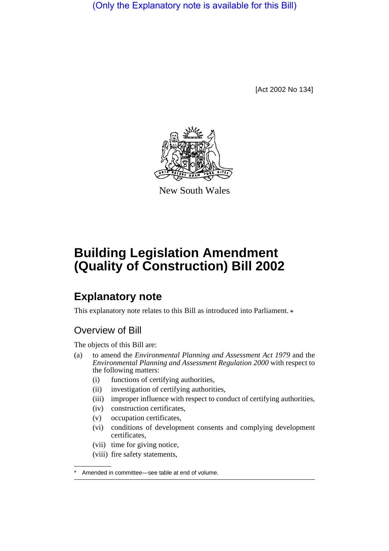(Only the Explanatory note is available for this Bill)

[Act 2002 No 134]



New South Wales

# **Building Legislation Amendment (Quality of Construction) Bill 2002**

# **Explanatory note**

This explanatory note relates to this Bill as introduced into Parliament.  $*$ 

# Overview of Bill

The objects of this Bill are:

- (a) to amend the *Environmental Planning and Assessment Act 1979* and the *Environmental Planning and Assessment Regulation 2000* with respect to the following matters:
	- (i) functions of certifying authorities,
	- (ii) investigation of certifying authorities,
	- (iii) improper influence with respect to conduct of certifying authorities,
	- (iv) construction certificates,
	- (v) occupation certificates,
	- (vi) conditions of development consents and complying development certificates,
	- (vii) time for giving notice,
	- (viii) fire safety statements,

Amended in committee—see table at end of volume.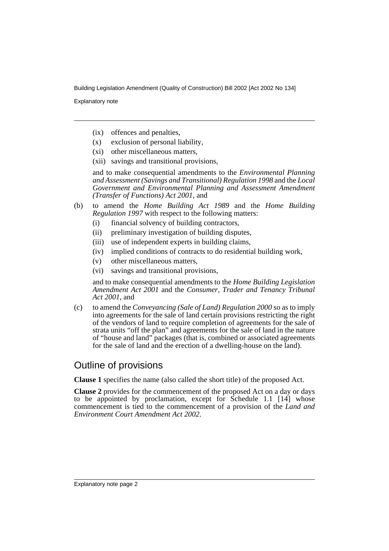Explanatory note

- (ix) offences and penalties,
- (x) exclusion of personal liability,
- (xi) other miscellaneous matters,
- (xii) savings and transitional provisions,

and to make consequential amendments to the *Environmental Planning and Assessment (Savings and Transitional) Regulation 1998* and the *Local Government and Environmental Planning and Assessment Amendment (Transfer of Functions) Act 2001*, and

- (b) to amend the *Home Building Act 1989* and the *Home Building Regulation 1997* with respect to the following matters:
	- (i) financial solvency of building contractors,
	- (ii) preliminary investigation of building disputes,
	- (iii) use of independent experts in building claims,
	- (iv) implied conditions of contracts to do residential building work,
	- (v) other miscellaneous matters,
	- (vi) savings and transitional provisions,

and to make consequential amendments to the *Home Building Legislation Amendment Act 2001* and the *Consumer, Trader and Tenancy Tribunal Act 2001*, and

(c) to amend the *Conveyancing (Sale of Land) Regulation 2000* so as to imply into agreements for the sale of land certain provisions restricting the right of the vendors of land to require completion of agreements for the sale of strata units "off the plan" and agreements for the sale of land in the nature of "house and land" packages (that is, combined or associated agreements for the sale of land and the erection of a dwelling-house on the land).

# Outline of provisions

**Clause 1** specifies the name (also called the short title) of the proposed Act.

**Clause 2** provides for the commencement of the proposed Act on a day or days to be appointed by proclamation, except for Schedule 1.1 [14] whose commencement is tied to the commencement of a provision of the *Land and Environment Court Amendment Act 2002*.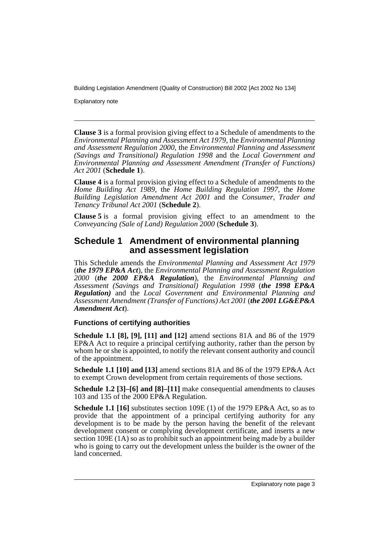Explanatory note

**Clause 3** is a formal provision giving effect to a Schedule of amendments to the *Environmental Planning and Assessment Act 1979*, the *Environmental Planning and Assessment Regulation 2000*, the *Environmental Planning and Assessment (Savings and Transitional) Regulation 1998* and the *Local Government and Environmental Planning and Assessment Amendment (Transfer of Functions) Act 2001* (**Schedule 1**).

**Clause 4** is a formal provision giving effect to a Schedule of amendments to the *Home Building Act 1989*, the *Home Building Regulation 1997*, the *Home Building Legislation Amendment Act 2001* and the *Consumer, Trader and Tenancy Tribunal Act 2001* (**Schedule 2**).

**Clause 5** is a formal provision giving effect to an amendment to the *Conveyancing (Sale of Land) Regulation 2000* (**Schedule 3**).

## **Schedule 1 Amendment of environmental planning and assessment legislation**

This Schedule amends the *Environmental Planning and Assessment Act 1979* (*the 1979 EP&A Act*), the *Environmental Planning and Assessment Regulation 2000* (*the 2000 EP&A Regulation*), the *Environmental Planning and Assessment (Savings and Transitional) Regulation 1998* (*the 1998 EP&A Regulation)* and the *Local Government and Environmental Planning and Assessment Amendment (Transfer of Functions) Act 2001* (*the 2001 LG&EP&A Amendment Act*).

#### **Functions of certifying authorities**

**Schedule 1.1 [8], [9], [11] and [12]** amend sections 81A and 86 of the 1979 EP&A Act to require a principal certifying authority, rather than the person by whom he or she is appointed, to notify the relevant consent authority and council of the appointment.

**Schedule 1.1 [10] and [13]** amend sections 81A and 86 of the 1979 EP&A Act to exempt Crown development from certain requirements of those sections.

**Schedule 1.2 [3]–[6] and [8]–[11]** make consequential amendments to clauses 103 and 135 of the 2000 EP&A Regulation.

**Schedule 1.1 [16]** substitutes section 109E (1) of the 1979 EP&A Act, so as to provide that the appointment of a principal certifying authority for any development is to be made by the person having the benefit of the relevant development consent or complying development certificate, and inserts a new section 109E (1A) so as to prohibit such an appointment being made by a builder who is going to carry out the development unless the builder is the owner of the land concerned.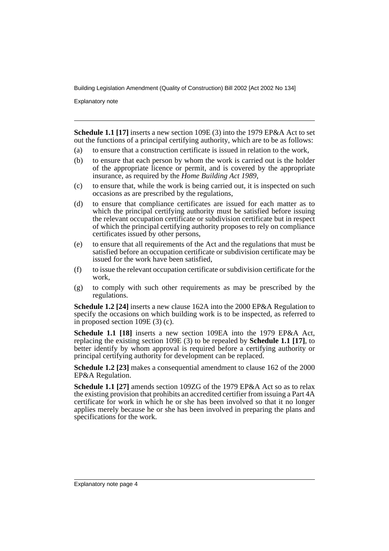Explanatory note

**Schedule 1.1 [17]** inserts a new section 109E (3) into the 1979 EP&A Act to set out the functions of a principal certifying authority, which are to be as follows:

- (a) to ensure that a construction certificate is issued in relation to the work,
- (b) to ensure that each person by whom the work is carried out is the holder of the appropriate licence or permit, and is covered by the appropriate insurance, as required by the *Home Building Act 1989*,
- (c) to ensure that, while the work is being carried out, it is inspected on such occasions as are prescribed by the regulations,
- (d) to ensure that compliance certificates are issued for each matter as to which the principal certifying authority must be satisfied before issuing the relevant occupation certificate or subdivision certificate but in respect of which the principal certifying authority proposes to rely on compliance certificates issued by other persons,
- (e) to ensure that all requirements of the Act and the regulations that must be satisfied before an occupation certificate or subdivision certificate may be issued for the work have been satisfied,
- (f) to issue the relevant occupation certificate or subdivision certificate for the work,
- (g) to comply with such other requirements as may be prescribed by the regulations.

**Schedule 1.2 [24]** inserts a new clause 162A into the 2000 EP&A Regulation to specify the occasions on which building work is to be inspected, as referred to in proposed section 109E (3) (c).

**Schedule 1.1 [18]** inserts a new section 109EA into the 1979 EP&A Act, replacing the existing section 109E (3) to be repealed by **Schedule 1.1 [17]**, to better identify by whom approval is required before a certifying authority or principal certifying authority for development can be replaced.

**Schedule 1.2 [23]** makes a consequential amendment to clause 162 of the 2000 EP&A Regulation.

**Schedule 1.1 [27]** amends section 109ZG of the 1979 EP&A Act so as to relax the existing provision that prohibits an accredited certifier from issuing a Part 4A certificate for work in which he or she has been involved so that it no longer applies merely because he or she has been involved in preparing the plans and specifications for the work.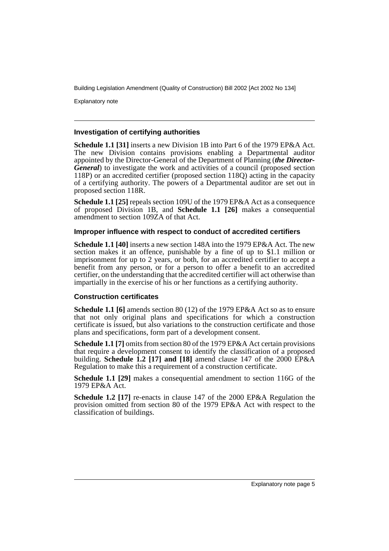Explanatory note

#### **Investigation of certifying authorities**

**Schedule 1.1 [31]** inserts a new Division 1B into Part 6 of the 1979 EP&A Act. The new Division contains provisions enabling a Departmental auditor appointed by the Director-General of the Department of Planning (*the Director-General*) to investigate the work and activities of a council (proposed section 118P) or an accredited certifier (proposed section 118Q) acting in the capacity of a certifying authority. The powers of a Departmental auditor are set out in proposed section 118R.

**Schedule 1.1 [25]** repeals section 109U of the 1979 EP&A Act as a consequence of proposed Division 1B, and **Schedule 1.1 [26]** makes a consequential amendment to section 109ZA of that Act.

#### **Improper influence with respect to conduct of accredited certifiers**

**Schedule 1.1 [40]** inserts a new section 148A into the 1979 EP&A Act. The new section makes it an offence, punishable by a fine of up to \$1.1 million or imprisonment for up to 2 years, or both, for an accredited certifier to accept a benefit from any person, or for a person to offer a benefit to an accredited certifier, on the understanding that the accredited certifier will act otherwise than impartially in the exercise of his or her functions as a certifying authority.

#### **Construction certificates**

**Schedule 1.1 [6]** amends section 80 (12) of the 1979 EP&A Act so as to ensure that not only original plans and specifications for which a construction certificate is issued, but also variations to the construction certificate and those plans and specifications, form part of a development consent.

**Schedule 1.1 [7]** omits from section 80 of the 1979 EP&A Act certain provisions that require a development consent to identify the classification of a proposed building. **Schedule 1.2 [17] and [18]** amend clause 147 of the 2000 EP&A Regulation to make this a requirement of a construction certificate.

**Schedule 1.1 [29]** makes a consequential amendment to section 116G of the 1979 EP&A Act.

**Schedule 1.2 [17]** re-enacts in clause 147 of the 2000 EP&A Regulation the provision omitted from section 80 of the 1979 EP&A Act with respect to the classification of buildings.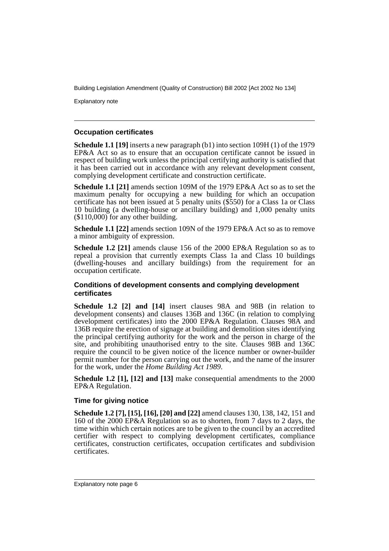Explanatory note

#### **Occupation certificates**

**Schedule 1.1 [19]** inserts a new paragraph (b1) into section 109H (1) of the 1979 EP&A Act so as to ensure that an occupation certificate cannot be issued in respect of building work unless the principal certifying authority is satisfied that it has been carried out in accordance with any relevant development consent, complying development certificate and construction certificate.

**Schedule 1.1 [21]** amends section 109M of the 1979 EP&A Act so as to set the maximum penalty for occupying a new building for which an occupation certificate has not been issued at  $\frac{3}{5}$  penalty units (\$550) for a Class 1a or Class 10 building (a dwelling-house or ancillary building) and 1,000 penalty units (\$110,000) for any other building.

**Schedule 1.1 [22]** amends section 109N of the 1979 EP&A Act so as to remove a minor ambiguity of expression.

**Schedule 1.2 [21]** amends clause 156 of the 2000 EP&A Regulation so as to repeal a provision that currently exempts Class 1a and Class 10 buildings (dwelling-houses and ancillary buildings) from the requirement for an occupation certificate.

#### **Conditions of development consents and complying development certificates**

**Schedule 1.2 [2] and [14]** insert clauses 98A and 98B (in relation to development consents) and clauses 136B and 136C (in relation to complying development certificates) into the 2000 EP&A Regulation. Clauses 98A and 136B require the erection of signage at building and demolition sites identifying the principal certifying authority for the work and the person in charge of the site, and prohibiting unauthorised entry to the site. Clauses 98B and 136C require the council to be given notice of the licence number or owner-builder permit number for the person carrying out the work, and the name of the insurer for the work, under the *Home Building Act 1989*.

**Schedule 1.2 [1], [12] and [13]** make consequential amendments to the 2000 EP&A Regulation.

#### **Time for giving notice**

**Schedule 1.2 [7], [15], [16], [20] and [22]** amend clauses 130, 138, 142, 151 and 160 of the 2000 EP&A Regulation so as to shorten, from 7 days to 2 days, the time within which certain notices are to be given to the council by an accredited certifier with respect to complying development certificates, compliance certificates, construction certificates, occupation certificates and subdivision certificates.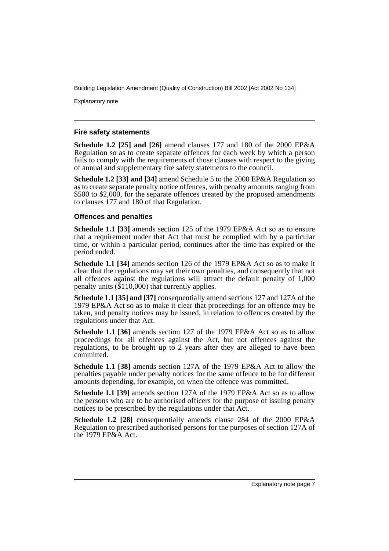Explanatory note

#### **Fire safety statements**

**Schedule 1.2 [25] and [26]** amend clauses 177 and 180 of the 2000 EP&A Regulation so as to create separate offences for each week by which a person fails to comply with the requirements of those clauses with respect to the giving of annual and supplementary fire safety statements to the council.

**Schedule 1.2 [33] and [34]** amend Schedule 5 to the 2000 EP&A Regulation so as to create separate penalty notice offences, with penalty amounts ranging from \$500 to \$2,000, for the separate offences created by the proposed amendments to clauses 177 and 180 of that Regulation.

#### **Offences and penalties**

**Schedule 1.1 [33]** amends section 125 of the 1979 EP&A Act so as to ensure that a requirement under that Act that must be complied with by a particular time, or within a particular period, continues after the time has expired or the period ended.

**Schedule 1.1 [34]** amends section 126 of the 1979 EP&A Act so as to make it clear that the regulations may set their own penalties, and consequently that not all offences against the regulations will attract the default penalty of 1,000 penalty units (\$110,000) that currently applies.

**Schedule 1.1 [35] and [37]** consequentially amend sections 127 and 127A of the 1979 EP&A Act so as to make it clear that proceedings for an offence may be taken, and penalty notices may be issued, in relation to offences created by the regulations under that Act.

**Schedule 1.1 [36]** amends section 127 of the 1979 EP&A Act so as to allow proceedings for all offences against the Act, but not offences against the regulations, to be brought up to 2 years after they are alleged to have been committed.

**Schedule 1.1 [38]** amends section 127A of the 1979 EP&A Act to allow the penalties payable under penalty notices for the same offence to be for different amounts depending, for example, on when the offence was committed.

**Schedule 1.1 [39]** amends section 127A of the 1979 EP&A Act so as to allow the persons who are to be authorised officers for the purpose of issuing penalty notices to be prescribed by the regulations under that Act.

**Schedule 1.2 [28]** consequentially amends clause 284 of the 2000 EP&A Regulation to prescribed authorised persons for the purposes of section 127A of the 1979 EP&A Act.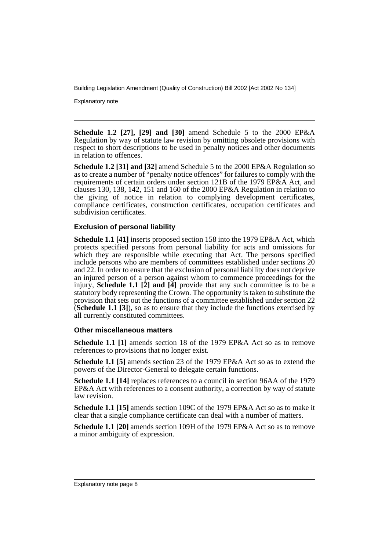Explanatory note

**Schedule 1.2 [27], [29] and [30]** amend Schedule 5 to the 2000 EP&A Regulation by way of statute law revision by omitting obsolete provisions with respect to short descriptions to be used in penalty notices and other documents in relation to offences.

**Schedule 1.2 [31] and [32]** amend Schedule 5 to the 2000 EP&A Regulation so as to create a number of "penalty notice offences" for failures to comply with the requirements of certain orders under section 121B of the 1979 EP&A Act, and clauses 130, 138, 142, 151 and 160 of the 2000 EP&A Regulation in relation to the giving of notice in relation to complying development certificates, compliance certificates, construction certificates, occupation certificates and subdivision certificates.

#### **Exclusion of personal liability**

**Schedule 1.1 [41]** inserts proposed section 158 into the 1979 EP&A Act, which protects specified persons from personal liability for acts and omissions for which they are responsible while executing that Act. The persons specified include persons who are members of committees established under sections 20 and 22. In order to ensure that the exclusion of personal liability does not deprive an injured person of a person against whom to commence proceedings for the injury, **Schedule 1.1 [2] and [4]** provide that any such committee is to be a statutory body representing the Crown. The opportunity is taken to substitute the provision that sets out the functions of a committee established under section 22 (**Schedule 1.1 [3]**), so as to ensure that they include the functions exercised by all currently constituted committees.

#### **Other miscellaneous matters**

**Schedule 1.1 [1]** amends section 18 of the 1979 EP&A Act so as to remove references to provisions that no longer exist.

**Schedule 1.1 [5]** amends section 23 of the 1979 EP&A Act so as to extend the powers of the Director-General to delegate certain functions.

**Schedule 1.1 [14]** replaces references to a council in section 96AA of the 1979 EP&A Act with references to a consent authority, a correction by way of statute law revision.

**Schedule 1.1 [15]** amends section 109C of the 1979 EP&A Act so as to make it clear that a single compliance certificate can deal with a number of matters.

**Schedule 1.1 [20]** amends section 109H of the 1979 EP&A Act so as to remove a minor ambiguity of expression.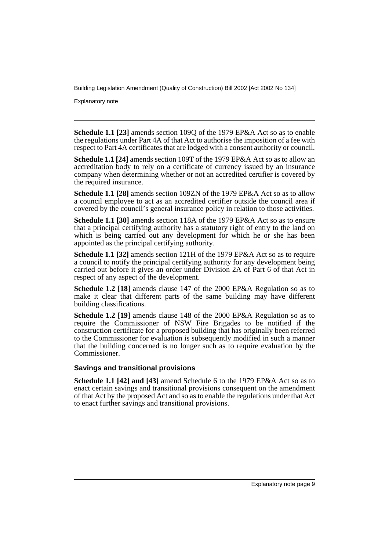Explanatory note

**Schedule 1.1 [23]** amends section 109Q of the 1979 EP&A Act so as to enable the regulations under Part 4A of that Act to authorise the imposition of a fee with respect to Part 4A certificates that are lodged with a consent authority or council.

**Schedule 1.1 [24]** amends section 109T of the 1979 EP&A Act so as to allow an accreditation body to rely on a certificate of currency issued by an insurance company when determining whether or not an accredited certifier is covered by the required insurance.

**Schedule 1.1 [28]** amends section 109ZN of the 1979 EP&A Act so as to allow a council employee to act as an accredited certifier outside the council area if covered by the council's general insurance policy in relation to those activities.

**Schedule 1.1 [30]** amends section 118A of the 1979 EP&A Act so as to ensure that a principal certifying authority has a statutory right of entry to the land on which is being carried out any development for which he or she has been appointed as the principal certifying authority.

**Schedule 1.1 [32]** amends section 121H of the 1979 EP&A Act so as to require a council to notify the principal certifying authority for any development being carried out before it gives an order under Division 2A of Part 6 of that Act in respect of any aspect of the development.

**Schedule 1.2 [18]** amends clause 147 of the 2000 EP&A Regulation so as to make it clear that different parts of the same building may have different building classifications.

**Schedule 1.2 [19]** amends clause 148 of the 2000 EP&A Regulation so as to require the Commissioner of NSW Fire Brigades to be notified if the construction certificate for a proposed building that has originally been referred to the Commissioner for evaluation is subsequently modified in such a manner that the building concerned is no longer such as to require evaluation by the Commissioner.

#### **Savings and transitional provisions**

**Schedule 1.1 [42] and [43]** amend Schedule 6 to the 1979 EP&A Act so as to enact certain savings and transitional provisions consequent on the amendment of that Act by the proposed Act and so as to enable the regulations under that Act to enact further savings and transitional provisions.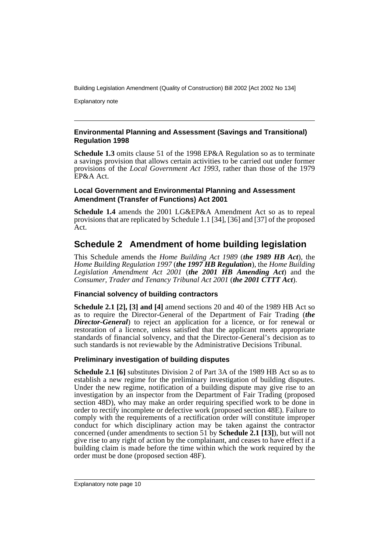Explanatory note

#### **Environmental Planning and Assessment (Savings and Transitional) Regulation 1998**

**Schedule 1.3** omits clause 51 of the 1998 EP&A Regulation so as to terminate a savings provision that allows certain activities to be carried out under former provisions of the *Local Government Act 1993*, rather than those of the 1979 EP&A Act.

#### **Local Government and Environmental Planning and Assessment Amendment (Transfer of Functions) Act 2001**

**Schedule 1.4** amends the 2001 LG&EP&A Amendment Act so as to repeal provisions that are replicated by Schedule 1.1 [34], [36] and [37] of the proposed Act.

# **Schedule 2 Amendment of home building legislation**

This Schedule amends the *Home Building Act 1989* (*the 1989 HB Act*), the *Home Building Regulation 1997* (*the 1997 HB Regulation*), the *Home Building Legislation Amendment Act 2001* (*the 2001 HB Amending Act*) and the *Consumer, Trader and Tenancy Tribunal Act 2001* (*the 2001 CTTT Act*).

### **Financial solvency of building contractors**

**Schedule 2.1 [2], [3] and [4]** amend sections 20 and 40 of the 1989 HB Act so as to require the Director-General of the Department of Fair Trading (*the Director-General*) to reject an application for a licence, or for renewal or restoration of a licence, unless satisfied that the applicant meets appropriate standards of financial solvency, and that the Director-General's decision as to such standards is not reviewable by the Administrative Decisions Tribunal.

### **Preliminary investigation of building disputes**

**Schedule 2.1 [6]** substitutes Division 2 of Part 3A of the 1989 HB Act so as to establish a new regime for the preliminary investigation of building disputes. Under the new regime, notification of a building dispute may give rise to an investigation by an inspector from the Department of Fair Trading (proposed section 48D), who may make an order requiring specified work to be done in order to rectify incomplete or defective work (proposed section 48E). Failure to comply with the requirements of a rectification order will constitute improper conduct for which disciplinary action may be taken against the contractor concerned (under amendments to section 51 by **Schedule 2.1 [13]**), but will not give rise to any right of action by the complainant, and ceases to have effect if a building claim is made before the time within which the work required by the order must be done (proposed section 48F).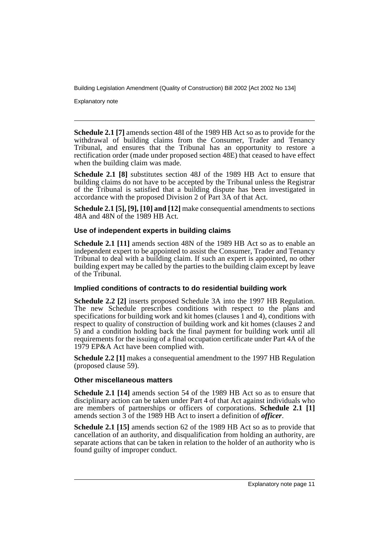Explanatory note

**Schedule 2.1 [7]** amends section 48I of the 1989 HB Act so as to provide for the withdrawal of building claims from the Consumer, Trader and Tenancy Tribunal, and ensures that the Tribunal has an opportunity to restore a rectification order (made under proposed section 48E) that ceased to have effect when the building claim was made.

**Schedule 2.1 [8]** substitutes section 48J of the 1989 HB Act to ensure that building claims do not have to be accepted by the Tribunal unless the Registrar of the Tribunal is satisfied that a building dispute has been investigated in accordance with the proposed Division 2 of Part 3A of that Act.

**Schedule 2.1 [5], [9], [10] and [12]** make consequential amendments to sections 48A and 48N of the 1989 HB Act.

#### **Use of independent experts in building claims**

**Schedule 2.1 [11]** amends section 48N of the 1989 HB Act so as to enable an independent expert to be appointed to assist the Consumer, Trader and Tenancy Tribunal to deal with a building claim. If such an expert is appointed, no other building expert may be called by the parties to the building claim except by leave of the Tribunal.

#### **Implied conditions of contracts to do residential building work**

**Schedule 2.2 [2]** inserts proposed Schedule 3A into the 1997 HB Regulation. The new Schedule prescribes conditions with respect to the plans and specifications for building work and kit homes (clauses  $\hat{1}$  and 4), conditions with respect to quality of construction of building work and kit homes (clauses 2 and 5) and a condition holding back the final payment for building work until all requirements for the issuing of a final occupation certificate under Part 4A of the 1979 EP&A Act have been complied with.

**Schedule 2.2 [1]** makes a consequential amendment to the 1997 HB Regulation (proposed clause 59).

#### **Other miscellaneous matters**

**Schedule 2.1 [14]** amends section 54 of the 1989 HB Act so as to ensure that disciplinary action can be taken under Part 4 of that Act against individuals who are members of partnerships or officers of corporations. **Schedule 2.1 [1]** amends section 3 of the 1989 HB Act to insert a definition of *officer*.

**Schedule 2.1 [15]** amends section 62 of the 1989 HB Act so as to provide that cancellation of an authority, and disqualification from holding an authority, are separate actions that can be taken in relation to the holder of an authority who is found guilty of improper conduct.